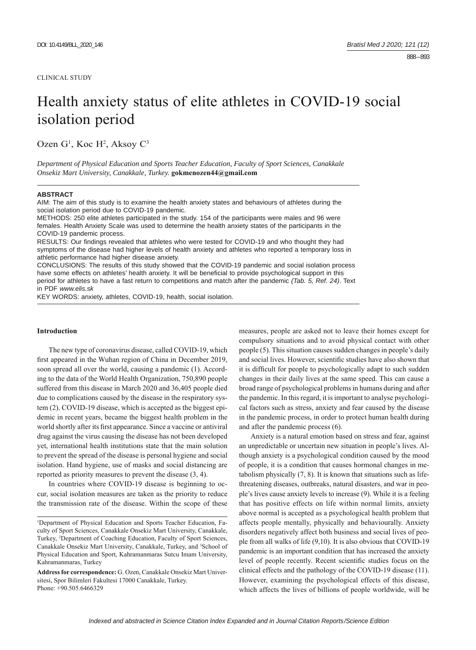# Health anxiety status of elite athletes in COVID-19 social isolation period

Ozen G<sup>1</sup>, Koc H<sup>2</sup>, Aksoy C<sup>3</sup>

*Department of Physical Education and Sports Teacher Education, Faculty of Sport Sciences, Canakkale Onsekiz Mart University, Canakkale, Turkey.* **gokmenozen44@gmail.com**

## **ABSTRACT**

AIM: The aim of this study is to examine the health anxiety states and behaviours of athletes during the social isolation period due to COVID-19 pandemic.

METHODS: 250 elite athletes participated in the study. 154 of the participants were males and 96 were females. Health Anxiety Scale was used to determine the health anxiety states of the participants in the COVID-19 pandemic process.

RESULTS: Our findings revealed that athletes who were tested for COVID-19 and who thought they had symptoms of the disease had higher levels of health anxiety and athletes who reported a temporary loss in athletic performance had higher disease anxiety.

CONCLUSIONS: The results of this study showed that the COVID-19 pandemic and social isolation process have some effects on athletes' health anxiety. It will be beneficial to provide psychological support in this period for athletes to have a fast return to competitions and match after the pandemic *(Tab. 5, Ref. 24)*. Text in PDF *www.elis.sk*

KEY WORDS: anxiety, athletes, COVID-19, health, social isolation.

## **Introduction**

The new type of coronavirus disease, called COVID-19, which first appeared in the Wuhan region of China in December 2019, soon spread all over the world, causing a pandemic (1). According to the data of the World Health Organization, 750,890 people suffered from this disease in March 2020 and 36,405 people died due to complications caused by the disease in the respiratory system (2). COVID-19 disease, which is accepted as the biggest epidemic in recent years, became the biggest health problem in the world shortly after its first appearance. Since a vaccine or antiviral drug against the virus causing the disease has not been developed yet, international health institutions state that the main solution to prevent the spread of the disease is personal hygiene and social isolation. Hand hygiene, use of masks and social distancing are reported as priority measures to prevent the disease (3, 4).

In countries where COVID-19 disease is beginning to occur, social isolation measures are taken as the priority to reduce the transmission rate of the disease. Within the scope of these measures, people are asked not to leave their homes except for compulsory situations and to avoid physical contact with other people (5). This situation causes sudden changes in people's daily and social lives. However, scientific studies have also shown that it is difficult for people to psychologically adapt to such sudden changes in their daily lives at the same speed. This can cause a broad range of psychological problems in humans during and after the pandemic. In this regard, it is important to analyse psychological factors such as stress, anxiety and fear caused by the disease in the pandemic process, in order to protect human health during and after the pandemic process (6).

Anxiety is a natural emotion based on stress and fear, against an unpredictable or uncertain new situation in people's lives. Although anxiety is a psychological condition caused by the mood of people, it is a condition that causes hormonal changes in metabolism physically (7, 8). It is known that situations such as lifethreatening diseases, outbreaks, natural disasters, and war in people's lives cause anxiety levels to increase (9). While it is a feeling that has positive effects on life within normal limits, anxiety above normal is accepted as a psychological health problem that affects people mentally, physically and behaviourally. Anxiety disorders negatively affect both business and social lives of people from all walks of life (9,10). It is also obvious that COVID-19 pandemic is an important condition that has increased the anxiety level of people recently. Recent scientific studies focus on the clinical effects and the pathology of the COVID-19 disease (11). However, examining the psychological effects of this disease, which affects the lives of billions of people worldwide, will be

<sup>1</sup> Department of Physical Education and Sports Teacher Education, Faculty of Sport Sciences, Canakkale Onsekiz Mart University, Canakkale, Turkey, 2 Department of Coaching Education, Faculty of Sport Sciences, Canakkale Onsekiz Mart University, Canakkale, Turkey, and <sup>3</sup>School of Physical Education and Sport, Kahramanmaras Sutcu Imam University, Kahramanmaras, Turkey

**Address for correspondence:** G. Ozen, Canakkale Onsekiz Mart Universitesi, Spor Bilimleri Fakultesi 17000 Canakkale, Turkey. Phone: +90.505.6466329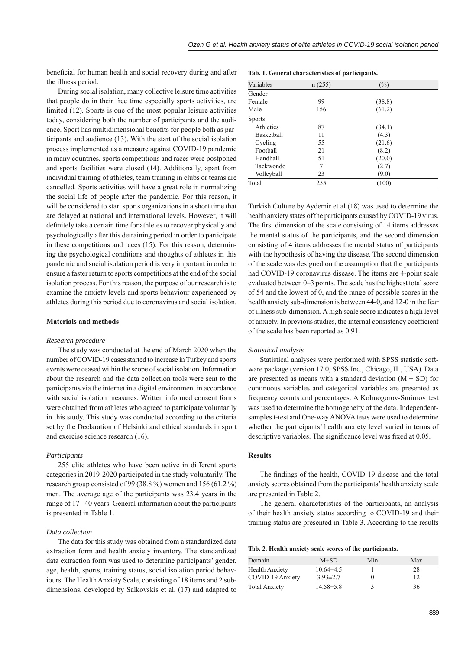beneficial for human health and social recovery during and after the illness period.

During social isolation, many collective leisure time activities that people do in their free time especially sports activities, are limited (12). Sports is one of the most popular leisure activities today, considering both the number of participants and the audience. Sport has multidimensional benefits for people both as participants and audience (13). With the start of the social isolation process implemented as a measure against COVID-19 pandemic in many countries, sports competitions and races were postponed and sports facilities were closed (14). Additionally, apart from individual training of athletes, team training in clubs or teams are cancelled. Sports activities will have a great role in normalizing the social life of people after the pandemic. For this reason, it will be considered to start sports organizations in a short time that are delayed at national and international levels. However, it will definitely take a certain time for athletes to recover physically and psychologically after this detraining period in order to participate in these competitions and races (15). For this reason, determining the psychological conditions and thoughts of athletes in this pandemic and social isolation period is very important in order to ensure a faster return to sports competitions at the end of the social isolation process. For this reason, the purpose of our research is to examine the anxiety levels and sports behaviour experienced by athletes during this period due to coronavirus and social isolation.

## **Materials and methods**

## *Research procedure*

The study was conducted at the end of March 2020 when the number of COVID-19 cases started to increase in Turkey and sports events were ceased within the scope of social isolation. Information about the research and the data collection tools were sent to the participants via the internet in a digital environment in accordance with social isolation measures. Written informed consent forms were obtained from athletes who agreed to participate voluntarily in this study. This study was conducted according to the criteria set by the Declaration of Helsinki and ethical standards in sport and exercise science research (16).

## *Participants*

255 elite athletes who have been active in different sports categories in 2019-2020 participated in the study voluntarily. The research group consisted of 99 (38.8 %) women and 156 (61.2 %) men. The average age of the participants was 23.4 years in the range of 17– 40 years. General information about the participants is presented in Table 1.

#### *Data collection*

The data for this study was obtained from a standardized data extraction form and health anxiety inventory. The standardized data extraction form was used to determine participants' gender, age, health, sports, training status, social isolation period behaviours. The Health Anxiety Scale, consisting of 18 items and 2 subdimensions, developed by Salkovskis et al. (17) and adapted to

|  |  | Tab. 1. General characteristics of participants. |
|--|--|--------------------------------------------------|
|--|--|--------------------------------------------------|

| Variables     | n(255) | $(\%)$ |  |
|---------------|--------|--------|--|
| Gender        |        |        |  |
| Female        | 99     | (38.8) |  |
| Male          | 156    | (61.2) |  |
| <b>Sports</b> |        |        |  |
| Athletics     | 87     | (34.1) |  |
| Basketball    | 11     | (4.3)  |  |
| Cycling       | 55     | (21.6) |  |
| Football      | 21     | (8.2)  |  |
| Handball      | 51     | (20.0) |  |
| Taekwondo     | 7      | (2.7)  |  |
| Volleyball    | 23     | (9.0)  |  |
| Total         | 255    | (100)  |  |

Turkish Culture by Aydemir et al (18) was used to determine the health anxiety states of the participants caused by COVID-19 virus. The first dimension of the scale consisting of 14 items addresses the mental status of the participants, and the second dimension consisting of 4 items addresses the mental status of participants with the hypothesis of having the disease. The second dimension of the scale was designed on the assumption that the participants had COVID-19 coronavirus disease. The items are 4-point scale evaluated between 0–3 points. The scale has the highest total score of 54 and the lowest of 0, and the range of possible scores in the health anxiety sub-dimension is between 44-0, and 12-0 in the fear of illness sub-dimension. A high scale score indicates a high level of anxiety. In previous studies, the internal consistency coefficient of the scale has been reported as 0.91.

#### *Statistical analysis*

Statistical analyses were performed with SPSS statistic software package (version 17.0, SPSS Inc., Chicago, IL, USA). Data are presented as means with a standard deviation  $(M \pm SD)$  for continuous variables and categorical variables are presented as frequency counts and percentages. A Kolmogorov-Smirnov test was used to determine the homogeneity of the data. Independentsamples t-test and One-way ANOVA tests were used to determine whether the participants' health anxiety level varied in terms of descriptive variables. The significance level was fixed at 0.05.

# **Results**

The findings of the health, COVID-19 disease and the total anxiety scores obtained from the participants' health anxiety scale are presented in Table 2.

The general characteristics of the participants, an analysis of their health anxiety status according to COVID-19 and their training status are presented in Table 3. According to the results

**Tab. 2. Health anxiety scale scores of the participants.**

| Domain               | $M\pm SD$       | Min | Max |
|----------------------|-----------------|-----|-----|
| Health Anxiety       | $10.64\pm4.5$   |     | 28  |
| COVID-19 Anxiety     | $3.93 \pm 2.7$  |     | 12  |
| <b>Total Anxiety</b> | $14.58 \pm 5.8$ |     | 36  |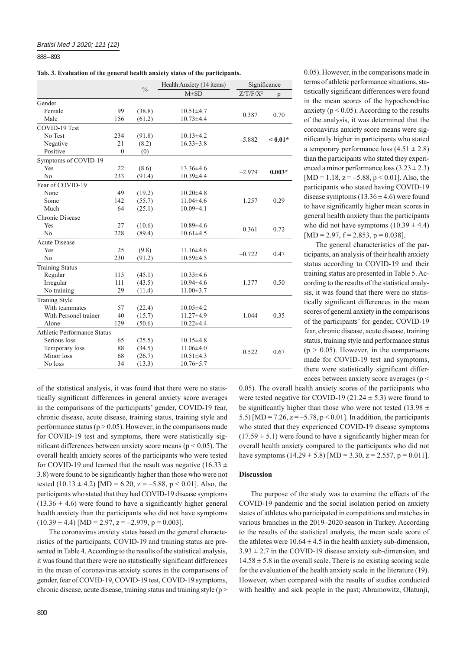888 – 893

**Tab. 3. Evaluation of the general health anxiety states of the participants.**

|                             |              | $\frac{0}{0}$ | Health Anxiety (14 items) | Significance |           |  |
|-----------------------------|--------------|---------------|---------------------------|--------------|-----------|--|
|                             |              |               | $M \pm SD$                | $Z/T/F/X^2$  | p         |  |
| Gender                      |              |               |                           |              |           |  |
| Female                      | 99           | (38.8)        | $10.51 \pm 4.7$           | 0.387        | 0.70      |  |
| Male                        | 156          | (61.2)        | $10.73 + 4.4$             |              |           |  |
| COVID-19 Test               |              |               |                           |              |           |  |
| No Test                     | 234          | (91.8)        | $10.13\pm4.2$             |              |           |  |
| Negative                    | 21           | (8.2)         | $16.33 \pm 3.8$           | $-5.882$     | $< 0.01*$ |  |
| Positive                    | $\mathbf{0}$ | (0)           |                           |              |           |  |
| Symptoms of COVID-19        |              |               |                           |              |           |  |
| Yes                         | 22           | (8.6)         | $13.36 \pm 4.6$           |              |           |  |
| N <sub>0</sub>              | 233          | (91.4)        | $10.39{\pm}4.4$           | $-2.979$     | $0.003*$  |  |
| Fear of COVID-19            |              |               |                           |              |           |  |
| None                        | 49           | (19.2)        | $10.20 \pm 4.8$           |              |           |  |
| Some                        | 142          | (55.7)        | $11.04\pm4.6$             | 1.257        | 0.29      |  |
| Much                        | 64           | (25.1)        | $10.09{\pm}4.1$           |              |           |  |
| Chronic Disease             |              |               |                           |              |           |  |
| Yes                         | 27           | (10.6)        | $10.89{\pm}4.6$           |              |           |  |
| N <sub>0</sub>              | 228          | (89.4)        | $10.61 \pm 4.5$           | $-0.361$     | 0.72      |  |
| <b>Acute Disease</b>        |              |               |                           |              |           |  |
| Yes                         | 25           | (9.8)         | $11.16\pm4.6$             | $-0.722$     | 0.47      |  |
| N <sub>0</sub>              | 230          | (91.2)        | $10.59 \pm 4.5$           |              |           |  |
| <b>Training Status</b>      |              |               |                           |              |           |  |
| Regular                     | 115          | (45.1)        | $10.35 \pm 4.6$           |              |           |  |
| Irregular                   | 111          | (43.5)        | $10.94 \pm 4.6$           | 1.377        | 0.50      |  |
| No training                 | 29           | (11.4)        | $11.00 \pm 3.7$           |              |           |  |
| <b>Traning Style</b>        |              |               |                           |              |           |  |
| With teammates              | 57           | (22.4)        | $10.05 \pm 4.2$           |              |           |  |
| With Personel trainer       | 40           | (15.7)        | $11.27 \pm 4.9$           | 1.044        | 0.35      |  |
| Alone                       | 129          | (50.6)        | $10.22 \pm 4.4$           |              |           |  |
| Athletic Performance Status |              |               |                           |              |           |  |
| Serious loss                | 65           | (25.5)        | $10.15 \pm 4.8$           |              |           |  |
| Temporary loss              | 88           | (34.5)        | $11.06\pm4.0$             | 0.522        | 0.67      |  |
| Minor loss                  | 68           | (26.7)        | $10.51 \pm 4.3$           |              |           |  |
| No loss                     | 34           | (13.3)        | $10.76 \pm 5.7$           |              |           |  |

of the statistical analysis, it was found that there were no statistically significant differences in general anxiety score averages in the comparisons of the participants' gender, COVID-19 fear, chronic disease, acute disease, training status, training style and performance status ( $p > 0.05$ ). However, in the comparisons made for COVID-19 test and symptoms, there were statistically significant differences between anxiety score means ( $p < 0.05$ ). The overall health anxiety scores of the participants who were tested for COVID-19 and learned that the result was negative (16.33  $\pm$ 3.8) were found to be significantly higher than those who were not tested  $(10.13 \pm 4.2)$  [MD = 6.20, z = -5.88, p < 0.01]. Also, the participants who stated that they had COVID-19 disease symptoms  $(13.36 \pm 4.6)$  were found to have a significantly higher general health anxiety than the participants who did not have symptoms  $(10.39 \pm 4.4)$  [MD = 2.97, z = -2.979, p = 0.003].

The coronavirus anxiety states based on the general characteristics of the participants, COVID-19 and training status are presented in Table 4. According to the results of the statistical analysis, it was found that there were no statistically significant differences in the mean of coronavirus anxiety scores in the comparisons of gender, fear of COVID-19, COVID-19 test, COVID-19 symptoms, chronic disease, acute disease, training status and training style (p > 0.05). However, in the comparisons made in terms of athletic performance situations, statistically significant differences were found in the mean scores of the hypochondriac anxiety ( $p < 0.05$ ). According to the results of the analysis, it was determined that the coronavirus anxiety score means were significantly higher in participants who stated a temporary performance loss  $(4.51 \pm 2.8)$ than the participants who stated they experienced a minor performance loss  $(3.23 \pm 2.3)$  $[MD = 1.18, z = -5.88, p < 0.01]$ . Also, the participants who stated having COVID-19 disease symptoms  $(13.36 \pm 4.6)$  were found to have significantly higher mean scores in general health anxiety than the participants who did not have symptoms  $(10.39 \pm 4.4)$  $[MD = 2.97, f = 2.853, p = 0.038].$ 

The general characteristics of the participants, an analysis of their health anxiety status according to COVID-19 and their training status are presented in Table 5. According to the results of the statistical analysis, it was found that there were no statistically significant differences in the mean scores of general anxiety in the comparisons of the participants' for gender, COVID-19 fear, chronic disease, acute disease, training status, training style and performance status  $(p > 0.05)$ . However, in the comparisons made for COVID-19 test and symptoms, there were statistically significant differences between anxiety score averages (p <

0.05). The overall health anxiety scores of the participants who were tested negative for COVID-19 (21.24  $\pm$  5.3) were found to be significantly higher than those who were not tested (13.98  $\pm$ 5.5) [MD = 7.26,  $z = -5.78$ ,  $p < 0.01$ ]. In addition, the participants who stated that they experienced COVID-19 disease symptoms  $(17.59 \pm 5.1)$  were found to have a significantly higher mean for overall health anxiety compared to the participants who did not have symptoms  $(14.29 \pm 5.8)$  [MD = 3.30, z = 2.557, p = 0.011].

# **Discussion**

The purpose of the study was to examine the effects of the COVID-19 pandemic and the social isolation period on anxiety states of athletes who participated in competitions and matches in various branches in the 2019–2020 season in Turkey. According to the results of the statistical analysis, the mean scale score of the athletes were  $10.64 \pm 4.5$  in the health anxiety sub-dimension,  $3.93 \pm 2.7$  in the COVID-19 disease anxiety sub-dimension, and  $14.58 \pm 5.8$  in the overall scale. There is no existing scoring scale for the evaluation of the health anxiety scale in the literature (19). However, when compared with the results of studies conducted with healthy and sick people in the past; Abramowitz, Olatunji,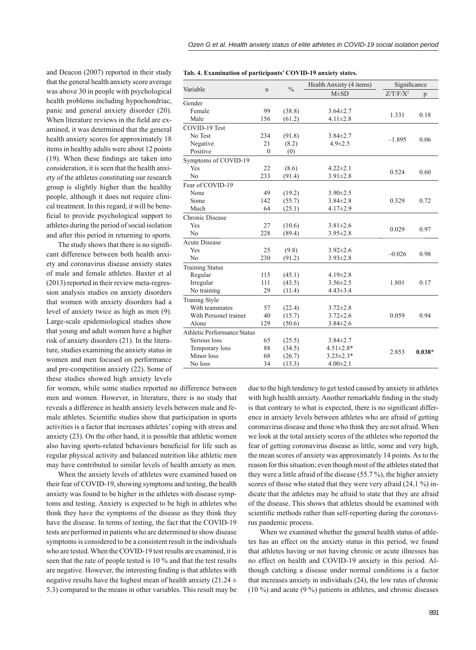and Deacon (2007) reported in their study that the general health anxiety score average was above 30 in people with psychological health problems including hypochondriac, panic and general anxiety disorder (20). When literature reviews in the field are examined, it was determined that the general health anxiety scores for approximately 18 items in healthy adults were about 12 points  $(19)$ . When these findings are taken into consideration, it is seen that the health anxiety of the athletes constituting our research group is slightly higher than the healthy people, although it does not require clinical treatment. In this regard, it will be beneficial to provide psychological support to athletes during the period of social isolation and after this period in returning to sports.

The study shows that there is no significant difference between both health anxiety and coronavirus disease anxiety states of male and female athletes. Baxter et al (2013) reported in their review meta-regression analysis studies on anxiety disorders that women with anxiety disorders had a level of anxiety twice as high as men (9). Large-scale epidemiological studies show that young and adult women have a higher risk of anxiety disorders (21). In the literature, studies examining the anxiety status in women and men focused on performance and pre-competition anxiety (22). Some of these studies showed high anxiety levels

for women, while some studies reported no difference between men and women. However, in literature, there is no study that reveals a difference in health anxiety levels between male and female athletes. Scientific studies show that participation in sports activities is a factor that increases athletes' coping with stress and anxiety (23). On the other hand, it is possible that athletic women also having sports-related behaviours beneficial for life such as regular physical activity and balanced nutrition like athletic men may have contributed to similar levels of health anxiety as men.

When the anxiety levels of athletes were examined based on their fear of COVID-19, showing symptoms and testing, the health anxiety was found to be higher in the athletes with disease symptoms and testing. Anxiety is expected to be high in athletes who think they have the symptoms of the disease as they think they have the disease. In terms of testing, the fact that the COVID-19 tests are performed in patients who are determined to show disease symptoms is considered to be a consistent result in the individuals who are tested. When the COVID-19 test results are examined, it is seen that the rate of people tested is 10 % and that the test results are negative. However, the interesting finding is that athletes with negative results have the highest mean of health anxiety (21.24  $\pm$ 5.3) compared to the means in other variables. This result may be

| Tab. 4. Examination of participants' COVID-19 anxiety states. |  |  |  |
|---------------------------------------------------------------|--|--|--|
|---------------------------------------------------------------|--|--|--|

| Variable                           |              | $\frac{0}{0}$ | Health Anxiety (4 items) | Significance |          |
|------------------------------------|--------------|---------------|--------------------------|--------------|----------|
|                                    | $\mathbf n$  |               | $M\pm SD$                | $Z/T/F/X^2$  | p        |
| Gender                             |              |               |                          |              |          |
| Female                             | 99           | (38.8)        | $3.64 \pm 2.7$           |              |          |
| Male                               | 156          | (61.2)        | $4.11 \pm 2.8$           | 1.331        | 0.18     |
| COVID-19 Test                      |              |               |                          |              |          |
| No Test                            | 234          | (91.8)        | $3.84 \pm 2.7$           |              |          |
| Negative                           | 21           | (8.2)         | $4.9 \pm 2.5$            | $-1.895$     | 0.06     |
| Positive                           | $\mathbf{0}$ | (0)           |                          |              |          |
| Symptoms of COVID-19               |              |               |                          |              |          |
| Yes                                | 22           | (8.6)         | $4.22 \pm 2.1$           |              |          |
| No                                 | 233          | (91.4)        | $3.91 \pm 2.8$           | 0.524        | 0.60     |
| Fear of COVID-19                   |              |               |                          |              |          |
| None                               | 49           | (19.2)        | $3.90 \pm 2.5$           |              |          |
| Some                               | 142          | (55.7)        | $3.84 \pm 2.8$           | 0.329        | 0.72     |
| Much                               | 64           | (25.1)        | $4.17 \pm 2.9$           |              |          |
| Chronic Disease                    |              |               |                          |              |          |
| Yes                                | 27           | (10.6)        | $3.81 \pm 2.6$           |              |          |
| N <sub>0</sub>                     | 228          | (89.4)        | $3.95 \pm 2.8$           | 0.029        | 0.97     |
| <b>Acute Disease</b>               |              |               |                          |              |          |
| Yes                                | 25           | (9.8)         | $3.92 \pm 2.6$           |              |          |
| N <sub>0</sub>                     | 230          | (91.2)        | $3.93 \pm 2.8$           | $-0.026$     | 0.98     |
| <b>Training Status</b>             |              |               |                          |              |          |
| Regular                            | 115          | (45.1)        | $4.19 \pm 2.8$           |              |          |
| Irregular                          | 111          | (43.5)        | $3.56 \pm 2.5$           | 1.801        | 0.17     |
| No training                        | 29           | (11.4)        | $4.43 \pm 3.4$           |              |          |
| <b>Traning Style</b>               |              |               |                          |              |          |
| With teammates                     | 57           | (22.4)        | $3.72 \pm 2.8$           |              |          |
| With Personel trainer              | 40           | (15.7)        | $3.72 \pm 2.6$           | 0.059        | 0.94     |
| Alone                              | 129          | (50.6)        | $3.84 \pm 2.6$           |              |          |
| <b>Athletic Performance Status</b> |              |               |                          |              |          |
| Serious loss                       | 65           | (25.5)        | $3.84 \pm 2.7$           |              |          |
| Temporary loss                     | 88           | (34.5)        | $4.51 \pm 2.8*$          |              |          |
| Minor loss                         | 68           | (26.7)        | $3.23 \pm 2.3*$          | 2.853        | $0.038*$ |
| No loss                            | 34           | (13.3)        | $4.00 \pm 2.1$           |              |          |
|                                    |              |               |                          |              |          |

due to the high tendency to get tested caused by anxiety in athletes with high health anxiety. Another remarkable finding in the study is that contrary to what is expected, there is no significant difference in anxiety levels between athletes who are afraid of getting coronavirus disease and those who think they are not afraid. When we look at the total anxiety scores of the athletes who reported the fear of getting coronavirus disease as little, some and very high, the mean scores of anxiety was approximately 14 points. As to the reason for this situation; even though most of the athletes stated that they were a little afraid of the disease (55.7 %), the higher anxiety scores of those who stated that they were very afraid (24.1 %) indicate that the athletes may be afraid to state that they are afraid of the disease. This shows that athletes should be examined with scientific methods rather than self-reporting during the coronavirus pandemic process.

When we examined whether the general health status of athletes has an effect on the anxiety status in this period, we found that athletes having or not having chronic or acute illnesses has no effect on health and COVID-19 anxiety in this period. Although catching a disease under normal conditions is a factor that increases anxiety in individuals (24), the low rates of chronic (10 %) and acute (9 %) patients in athletes, and chronic diseases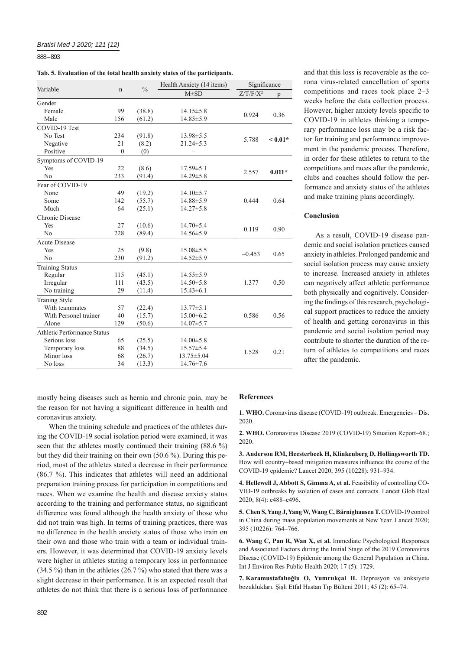888 – 893

| Variable                    | n              | $\frac{0}{0}$ | Significance<br>Health Anxiety (14 items) |             |           |
|-----------------------------|----------------|---------------|-------------------------------------------|-------------|-----------|
|                             |                |               | $M\pm SD$                                 | $Z/T/F/X^2$ | p         |
| Gender                      |                |               |                                           |             |           |
| Female                      | 99             | (38.8)        | $14.15 \pm 5.8$                           | 0.924       | 0.36      |
| Male                        | 156            | (61.2)        | $14.85 \pm 5.9$                           |             |           |
| COVID-19 Test               |                |               |                                           |             |           |
| No Test                     | 234            | (91.8)        | $13.98 \pm 5.5$                           | 5.788       | $< 0.01*$ |
| Negative                    | 21             | (8.2)         | $21.24 \pm 5.3$                           |             |           |
| Positive                    | $\overline{0}$ | (0)           |                                           |             |           |
| Symptoms of COVID-19        |                |               |                                           |             |           |
| Yes                         | 22             | (8.6)         | $17.59 \pm 5.1$                           |             |           |
| No                          | 233            | (91.4)        | $14.29 \pm 5.8$                           | 2.557       | $0.011*$  |
| Fear of COVID-19            |                |               |                                           |             |           |
| None                        | 49             | (19.2)        | $14.10 \pm 5.7$                           |             |           |
| Some                        | 142            | (55.7)        | 14.88±5.9                                 | 0.444       | 0.64      |
| Much                        | 64             | (25.1)        | $14.27 \pm 5.8$                           |             |           |
| Chronic Disease             |                |               |                                           |             |           |
| Yes                         | 27             | (10.6)        | $14.70 \pm 5.4$                           |             |           |
| No                          | 228            | (89.4)        | $14.56 \pm 5.9$                           | 0.119       | 0.90      |
| <b>Acute Disease</b>        |                |               |                                           |             |           |
| Yes                         | 25             | (9.8)         | $15.08 \pm 5.5$                           | $-0.453$    | 0.65      |
| N <sub>0</sub>              | 230            | (91.2)        | 14.52±5.9                                 |             |           |
| <b>Training Status</b>      |                |               |                                           |             |           |
| Regular                     | 115            | (45.1)        | $14.55 \pm 5.9$                           |             |           |
| Irregular                   | 111            | (43.5)        | $14.50 \pm 5.8$                           | 1.377       | 0.50      |
| No training                 | 29             | (11.4)        | $15.43\pm 6.1$                            |             |           |
| <b>Traning Style</b>        |                |               |                                           |             |           |
| With teammates              | 57             | (22.4)        | $13.77 \pm 5.1$                           |             |           |
| With Personel trainer       | 40             | (15.7)        | $15.00\pm6.2$                             | 0.586       | 0.56      |
| Alone                       | 129            | (50.6)        | $14.07 \pm 5.7$                           |             |           |
| Athletic Performance Status |                |               |                                           |             |           |
| Serious loss                | 65             | (25.5)        | $14.00 \pm 5.8$                           |             |           |
| Temporary loss              | 88             | (34.5)        | $15.57 \pm 5.4$                           | 1.528       | 0.21      |
| Minor loss                  | 68             | (26.7)        | 13.75 ± 5.04                              |             |           |
| No loss                     | 34             | (13.3)        | $14.76 \pm 7.6$                           |             |           |

mostly being diseases such as hernia and chronic pain, may be the reason for not having a significant difference in health and coronavirus anxiety.

When the training schedule and practices of the athletes during the COVID-19 social isolation period were examined, it was seen that the athletes mostly continued their training (88.6 %) but they did their training on their own (50.6 %). During this period, most of the athletes stated a decrease in their performance (86.7 %). This indicates that athletes will need an additional preparation training process for participation in competitions and races. When we examine the health and disease anxiety status according to the training and performance status, no significant difference was found although the health anxiety of those who did not train was high. In terms of training practices, there was no difference in the health anxiety status of those who train on their own and those who train with a team or individual trainers. However, it was determined that COVID-19 anxiety levels were higher in athletes stating a temporary loss in performance (34.5 %) than in the athletes (26.7 %) who stated that there was a slight decrease in their performance. It is an expected result that athletes do not think that there is a serious loss of performance

# **References**

**1. WHO.** Coronavirus disease (COVID-19) outbreak. Emergencies – Dis. 2020.

**2. WHO.** Coronavirus Disease 2019 (COVID-19) Situation Report–68.; 2020.

**3. Anderson RM, Heesterbeek H, Klinkenberg D, Hollingsworth TD.** How will country–based mitigation measures influence the course of the COVID-19 epidemic? Lancet 2020; 395 (10228): 931–934.

**4. Hellewell J, Abbott S, Gimma A, et al.** Feasibility of controlling CO-VID-19 outbreaks by isolation of cases and contacts. Lancet Glob Heal 2020; 8(4): e488–e496.

**5. Chen S, Yang J, Yang W, Wang C, Bärnighausen T.** COVID-19 control in China during mass population movements at New Year. Lancet 2020; 395 (10226): 764–766.

**6. Wang C, Pan R, Wan X, et al.** Immediate Psychological Responses and Associated Factors during the Initial Stage of the 2019 Coronavirus Disease (COVID-19) Epidemic among the General Population in China. Int J Environ Res Public Health 2020; 17 (5): 1729.

**7. Karamustafalıoğlu O, Yumrukçal H.** Depresyon ve anksiyete bozuklukları. Şişli Etfal Hastan Tıp Bülteni 2011; 45 (2): 65–74.

and that this loss is recoverable as the corona virus-related cancellation of sports competitions and races took place 2–3 weeks before the data collection process. However, higher anxiety levels specific to COVID-19 in athletes thinking a temporary performance loss may be a risk factor for training and performance improvement in the pandemic process. Therefore, in order for these athletes to return to the competitions and races after the pandemic, clubs and coaches should follow the performance and anxiety status of the athletes and make training plans accordingly.

# **Conclusion**

As a result, COVID-19 disease pandemic and social isolation practices caused anxiety in athletes. Prolonged pandemic and social isolation process may cause anxiety to increase. Increased anxiety in athletes can negatively affect athletic performance both physically and cognitively. Considering the findings of this research, psychological support practices to reduce the anxiety of health and getting coronavirus in this pandemic and social isolation period may contribute to shorter the duration of the return of athletes to competitions and races after the pandemic.